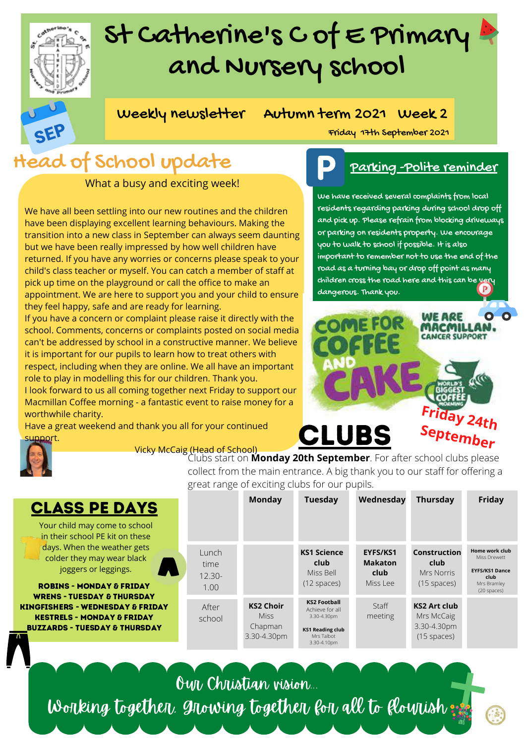## St Catherine's C of E Primary and Nursery school



Weekly newsletter Autumn term 2021 Week 2

## Head of School update

What a busy and exciting week!

We have all been settling into our new routines and the children have been displaying excellent learning behaviours. Making the transition into a new class in September can always seem daunting but we have been really impressed by how well children have returned. If you have any worries or concerns please speak to your child's class teacher or myself. You can catch a member of staff at pick up time on the playground or call the office to make an appointment. We are here to support you and your child to ensure they feel happy, safe and are ready for learning.

If you have a concern or complaint please raise it directly with the school. Comments, concerns or complaints posted on social media can't be addressed by school in a constructive manner. We believe it is important for our pupils to learn how to treat others with respect, including when they are online. We all have an important role to play in modelling this for our children. Thank you.

I look forward to us all coming together next Friday to support our Macmillan Coffee morning - a fantastic event to raise money for a worthwhile charity.

Have a great weekend and thank you all for your continued support.

ROBINS - MONDAY & FRI WRENS - TUESDAY & THUR **KINGFISHERS - WEDNESDAY KESTRELS - MONDAY & FR BUZZARDS - TUESDAY & THL** 

CLASS PE DA





### Parking -Polite reminder

We have received several complaints from local residents regarding parking during school drop off and pick up. Please refrain from blocking driveways or parking on residents property. We encourage you to walk to school if possible. It is also important to remember not to use the end of the road as a turning bay or drop off point as many children cross the road here and this can be very dangerous. Thank you.



# **CLUBS**

Clubs start on **Monday 20th September**. For after school clubs please collect from the main entrance. A big thank you to our staff for offering a great range of exciting clubs for our pupils.

| <b>LASS PE DAYS</b>                                                                                                                                                                                                                                                              |                                    | <b>Monday</b>                                             | <b>Tuesday</b>                                                                                                | Wednesday                                      | <b>Thursday</b>                                                   | Friday                                                                                        |
|----------------------------------------------------------------------------------------------------------------------------------------------------------------------------------------------------------------------------------------------------------------------------------|------------------------------------|-----------------------------------------------------------|---------------------------------------------------------------------------------------------------------------|------------------------------------------------|-------------------------------------------------------------------|-----------------------------------------------------------------------------------------------|
| our child may come to school<br>n their school PE kit on these                                                                                                                                                                                                                   |                                    |                                                           |                                                                                                               |                                                |                                                                   |                                                                                               |
| days. When the weather gets<br>colder they may wear black<br>joggers or leggings.<br><b>OBINS - MONDAY &amp; FRIDAY</b><br><b>RENS - TUESDAY &amp; THURSDAY</b><br>ISHERS - WEDNESDAY & FRIDAY!<br><b>STRELS - MONDAY &amp; FRIDAY:</b><br><b>ZARDS - TUESDAY &amp; THURSDAY</b> | Lunch<br>time<br>$12.30 -$<br>1.00 |                                                           | <b>KS1 Science</b><br>club<br>Miss Bell<br>$(12$ spaces)                                                      | EYFS/KS1<br><b>Makaton</b><br>club<br>Miss Lee | Construction<br>club<br>Mrs Norris<br>$(15$ spaces)               | Home work club<br>Miss Drewett<br><b>EYFS/KS1 Dance</b><br>club<br>Mrs Bramley<br>(20 spaces) |
|                                                                                                                                                                                                                                                                                  | After<br>school                    | <b>KS2 Choir</b><br><b>Miss</b><br>Chapman<br>3.30-4.30pm | <b>KS2 Football</b><br>Achieve for all<br>3.30-4.30pm<br><b>KS1 Reading club</b><br>Mrs Talbot<br>3.30-4.10pm | <b>Staff</b><br>meeting                        | <b>KS2 Art club</b><br>Mrs McCaig<br>3.30-4.30pm<br>$(15$ spaces) |                                                                                               |

Our Christian vision...

Working together, growing together for all to flourish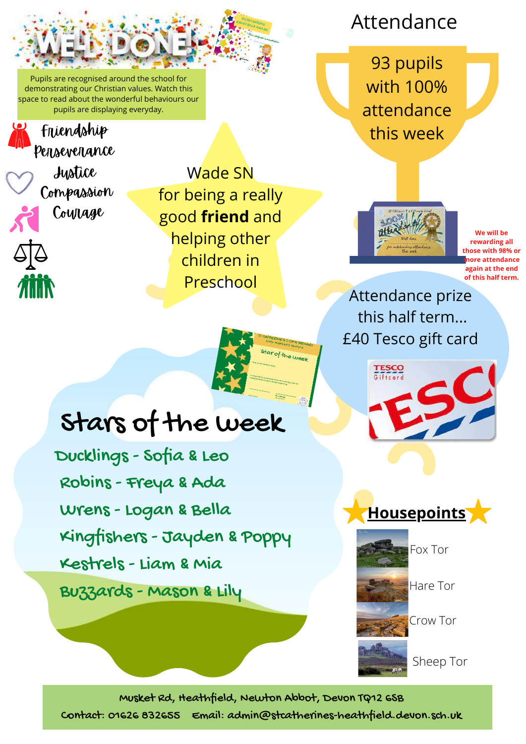Pupils are recognised around the school for demonstrating our Christian values. Watch this space to read about the wonderful behaviours our pupils are displaying everyday.

Ducklings - Sofia & Leo

Robins - Freya & Ada

Wrens - Logan & Bella

Kestrels - Liam & Mia

Buzzards - Mason & Lily

Kingfishers - Jayden & Poppy

Stars of the week

### Perseverance Friendship

Justice **Compassion Courage** 

40

**ATTIN** 

Wade SN for being a really good **friend** and helping other children in Preschool

Date:

This certificate is awarded to... for the contract of the contract of the contract of the contract of the contract of the contract of the contract of

ar of the week

### Notes the Contract of the Contract of the Contract of the Contract of the Contract of Contract of Contract of Contract of Contract of Contract of Contract of Contract of Contract of Contract of Contract of Contract of Cont  $\mathsf{Attendance}$

93 pupils with 100% attendance this week



**We will be rewarding all those with 98% or more attendance again at the end of this half term.**

Attendance prize this half term... £40 Tesco gift card







Hare Tor

Crow Tor

Sheep Tor

Musket Rd, Heathfield, Newton Abbot, Devon TQ12 6SB

Contact: 01626 832655 Email: admin@stcatherines-heathfield.devon.sch.uk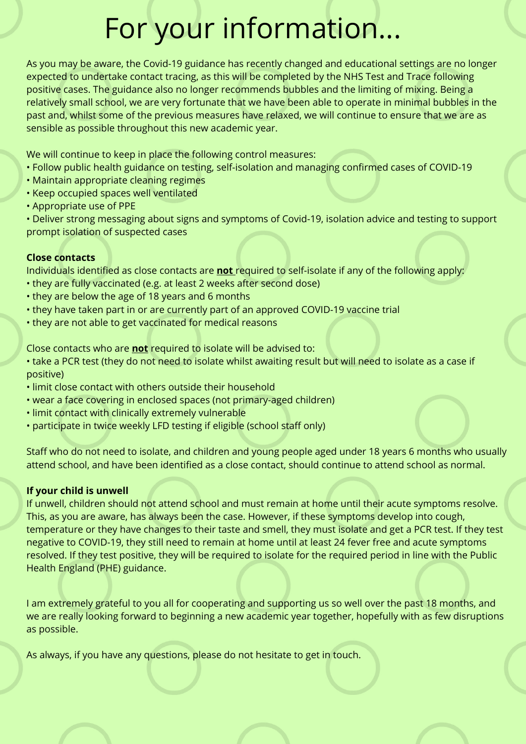## For your information...

As you may be aware, the Covid-19 guidance has recently changed and educational settings are no longer expected to undertake contact tracing, as this will be completed by the NHS Test and Trace following positive cases. The guidance also no longer recommends bubbles and the limiting of mixing. Being a relatively small school, we are very fortunate that we have been able to operate in minimal bubbles in the past and, whilst some of the previous measures have relaxed, we will continue to ensure that we are as sensible as possible throughout this new academic year.

We will continue to keep in place the following control measures:

- Follow public health guidance on testing, self-isolation and managing confirmed cases of COVID-19
- Maintain appropriate cleaning regimes
- Keep occupied spaces well ventilated
- Appropriate use of PPE

• Deliver strong messaging about signs and symptoms of Covid-19, isolation advice and testing to support prompt isolation of suspected cases

### **Close contacts**

Individuals identified as close contacts are **not** required to self-isolate if any of the following apply:

- they are fully vaccinated (e.g. at least 2 weeks after second dose)
- they are below the age of 18 years and 6 months
- they have taken part in or are currently part of an approved COVID-19 vaccine trial
- they are not able to get vaccinated for medical reasons

Close contacts who are **not** required to isolate will be advised to:

- take a PCR test (they do not need to isolate whilst awaiting result but will need to isolate as a case if positive)
- limit close contact with others outside their household
- wear a face covering in enclosed spaces (not primary-aged children)
- limit contact with clinically extremely vulnerable
- participate in twice weekly LFD testing if eligible (school staff only)

Staff who do not need to isolate, and children and young people aged under 18 years 6 months who usually attend school, and have been identified as a close contact, should continue to attend school as normal.

#### **If your child is unwell**

If unwell, children should not attend school and must remain at home until their acute symptoms resolve. This, as you are aware, has always been the case. However, if these symptoms develop into cough, temperature or they have changes to their taste and smell, they must isolate and get a PCR test. If they test negative to COVID-19, they still need to remain at home until at least 24 fever free and acute symptoms resolved. If they test positive, they will be required to isolate for the required period in line with the Public Health England (PHE) guidance.

I am extremely grateful to you all for cooperating and supporting us so well over the past 18 months, and we are really looking forward to beginning a new academic year together, hopefully with as few disruptions as possible.

As always, if you have any questions, please do not hesitate to get in touch.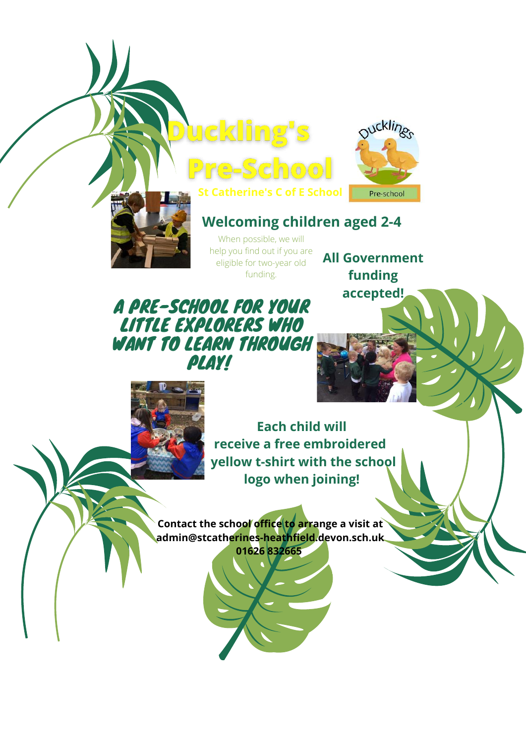



### **Welcoming children aged 2-4**

When possible, we will help you find out if you are eligible for two-year old funding.

e-School

Duckling's

**All Government funding accepted!**

### A PRE-SCHOOL FOR YOUR LITTLE EXPLORERS WHO WANT TO LEARN THROUGH **PLAY!**



**Each child will receive a free embroidered yellow t-shirt with the school logo when joining!**

**Contact the school office to arrange a visit at admin@stcatherines-heathfield.devon.sch.uk 01626 832665**